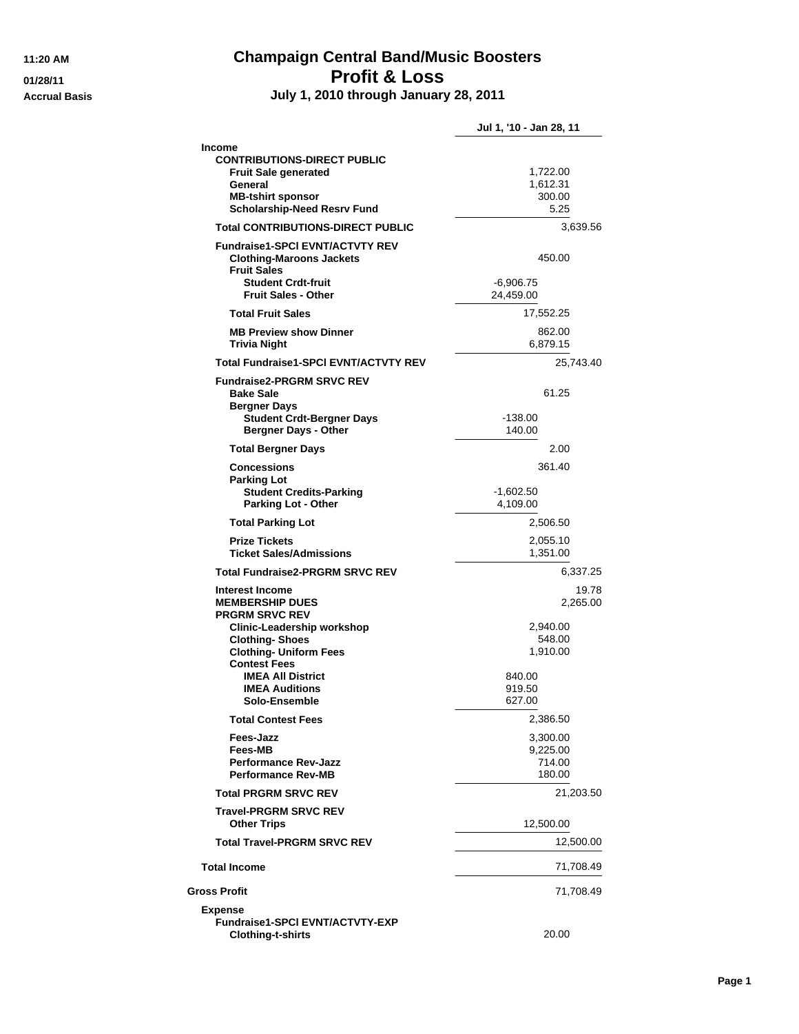## **11:20 AM Champaign Central Band/Music Boosters 01/28/11 Profit & Loss**

**Accrual Basis July 1, 2010 through January 28, 2011**

|                                                                                                                                                                                                                                                                | Jul 1, '10 - Jan 28, 11                                                           |
|----------------------------------------------------------------------------------------------------------------------------------------------------------------------------------------------------------------------------------------------------------------|-----------------------------------------------------------------------------------|
| <b>Income</b><br><b>CONTRIBUTIONS-DIRECT PUBLIC</b><br><b>Fruit Sale generated</b><br>General<br><b>MB-tshirt sponsor</b><br><b>Scholarship-Need Resrv Fund</b>                                                                                                | 1,722.00<br>1,612.31<br>300.00<br>5.25                                            |
| <b>Total CONTRIBUTIONS-DIRECT PUBLIC</b>                                                                                                                                                                                                                       | 3,639.56                                                                          |
| <b>Fundraise1-SPCI EVNT/ACTVTY REV</b><br><b>Clothing-Maroons Jackets</b><br><b>Fruit Sales</b><br><b>Student Crdt-fruit</b><br><b>Fruit Sales - Other</b>                                                                                                     | 450.00<br>$-6,906.75$<br>24,459.00                                                |
| <b>Total Fruit Sales</b>                                                                                                                                                                                                                                       | 17,552.25                                                                         |
| <b>MB Preview show Dinner</b><br><b>Trivia Night</b>                                                                                                                                                                                                           | 862.00<br>6,879.15                                                                |
| Total Fundraise1-SPCI EVNT/ACTVTY REV                                                                                                                                                                                                                          | 25,743.40                                                                         |
| <b>Fundraise2-PRGRM SRVC REV</b><br><b>Bake Sale</b><br><b>Bergner Days</b><br><b>Student Crdt-Bergner Days</b><br><b>Bergner Days - Other</b>                                                                                                                 | 61.25<br>$-138.00$<br>140.00                                                      |
| <b>Total Bergner Days</b>                                                                                                                                                                                                                                      | 2.00                                                                              |
| <b>Concessions</b><br><b>Parking Lot</b>                                                                                                                                                                                                                       | 361.40                                                                            |
| <b>Student Credits-Parking</b><br><b>Parking Lot - Other</b>                                                                                                                                                                                                   | $-1,602.50$<br>4,109.00                                                           |
| <b>Total Parking Lot</b>                                                                                                                                                                                                                                       | 2,506.50                                                                          |
| <b>Prize Tickets</b><br><b>Ticket Sales/Admissions</b>                                                                                                                                                                                                         | 2,055.10<br>1,351.00                                                              |
| <b>Total Fundraise2-PRGRM SRVC REV</b>                                                                                                                                                                                                                         | 6,337.25                                                                          |
| Interest Income<br><b>MEMBERSHIP DUES</b><br><b>PRGRM SRVC REV</b><br><b>Clinic-Leadership workshop</b><br><b>Clothing-Shoes</b><br><b>Clothing- Uniform Fees</b><br><b>Contest Fees</b><br><b>IMEA All District</b><br><b>IMEA Auditions</b><br>Solo-Ensemble | 19.78<br>2,265.00<br>2,940.00<br>548.00<br>1,910.00<br>840.00<br>919.50<br>627.00 |
| <b>Total Contest Fees</b>                                                                                                                                                                                                                                      | 2,386.50                                                                          |
| Fees-Jazz<br>Fees-MB<br><b>Performance Rev-Jazz</b><br><b>Performance Rev-MB</b>                                                                                                                                                                               | 3,300.00<br>9,225.00<br>714.00<br>180.00                                          |
| <b>Total PRGRM SRVC REV</b>                                                                                                                                                                                                                                    | 21,203.50                                                                         |
| <b>Travel-PRGRM SRVC REV</b><br><b>Other Trips</b>                                                                                                                                                                                                             | 12,500.00                                                                         |
| <b>Total Travel-PRGRM SRVC REV</b>                                                                                                                                                                                                                             | 12,500.00                                                                         |
| <b>Total Income</b>                                                                                                                                                                                                                                            | 71,708.49                                                                         |
| <b>Gross Profit</b>                                                                                                                                                                                                                                            | 71,708.49                                                                         |
| <b>Expense</b><br><b>Fundraise1-SPCI EVNT/ACTVTY-EXP</b><br><b>Clothing-t-shirts</b>                                                                                                                                                                           | 20.00                                                                             |